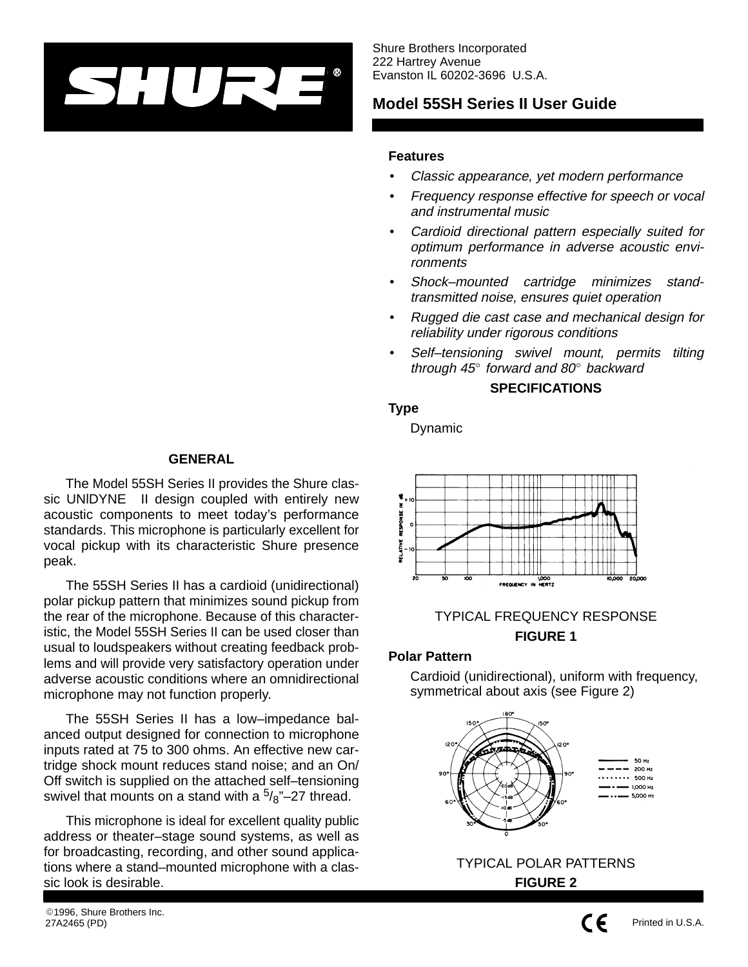

Shure Brothers Incorporated 222 Hartrey Avenue Evanston IL 60202-3696 U.S.A.

# **Model 55SH Series II User Guide**

#### **Features**

- Classic appearance, yet modern performance
- Frequency response effective for speech or vocal and instrumental music
- Cardioid directional pattern especially suited for optimum performance in adverse acoustic environments
- Shock–mounted cartridge minimizes standtransmitted noise, ensures quiet operation
- Rugged die cast case and mechanical design for reliability under rigorous conditions
- Self-tensioning swivel mount, permits tilting through 45° forward and 80° backward

#### **SPECIFICATIONS**

#### **Type**

Dynamic



# TYPICAL FREQUENCY RESPONSE **FIGURE 1**

#### **Polar Pattern**

Cardioid (unidirectional), uniform with frequency, symmetrical about axis (see Figure 2)





# $\epsilon$

## Printed in U.S.A.

#### **GENERAL**

The Model 55SH Series II provides the Shure classic UNIDYNE<sup>®</sup> II design coupled with entirely new acoustic components to meet today's performance standards. This microphone is particularly excellent for vocal pickup with its characteristic Shure presence peak.

The 55SH Series II has a cardioid (unidirectional) polar pickup pattern that minimizes sound pickup from the rear of the microphone. Because of this characteristic, the Model 55SH Series II can be used closer than usual to loudspeakers without creating feedback problems and will provide very satisfactory operation under adverse acoustic conditions where an omnidirectional microphone may not function properly.

The 55SH Series II has a low–impedance balanced output designed for connection to microphone inputs rated at 75 to 300 ohms. An effective new cartridge shock mount reduces stand noise; and an On/ Off switch is supplied on the attached self–tensioning swivel that mounts on a stand with a  $\frac{5}{8}$ "–27 thread.

This microphone is ideal for excellent quality public address or theater–stage sound systems, as well as for broadcasting, recording, and other sound applications where a stand–mounted microphone with a classic look is desirable.